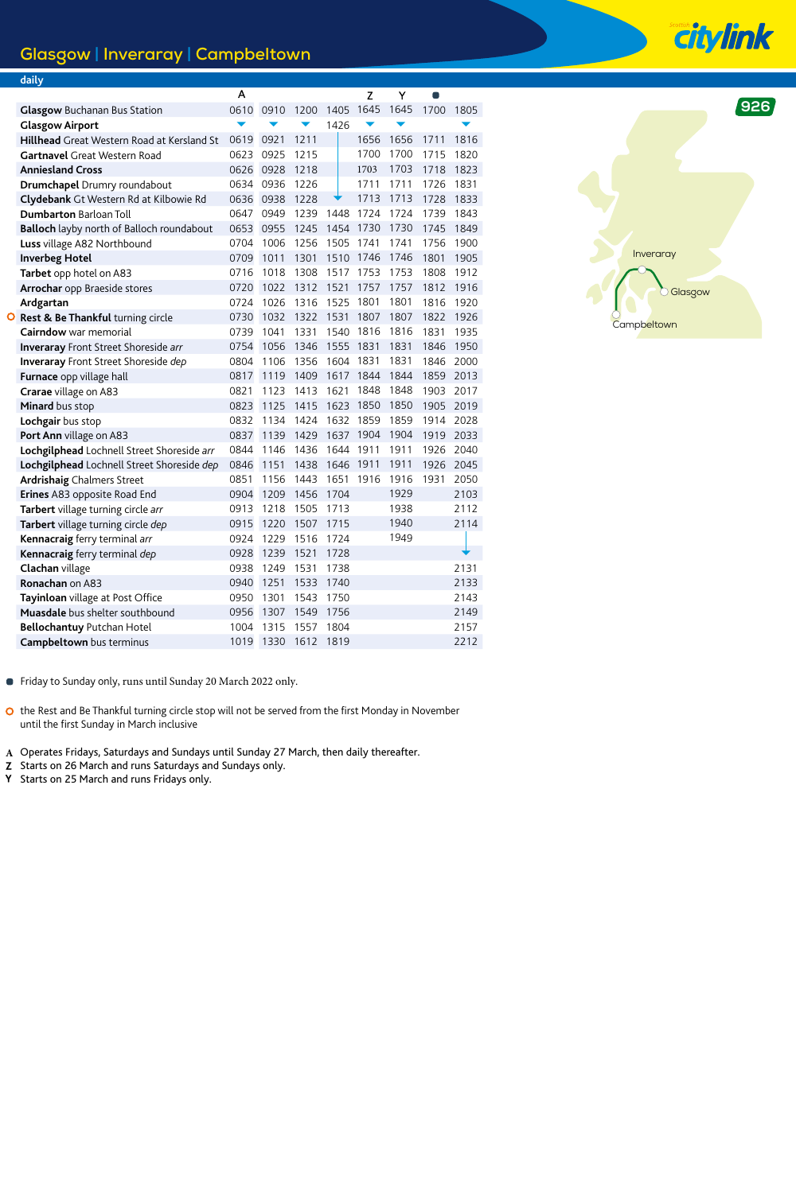## **Glasgow | Inveraray | Campbeltown**

|  | daily                                             |      |      |      |           |           |      |           |      |
|--|---------------------------------------------------|------|------|------|-----------|-----------|------|-----------|------|
|  |                                                   | А    |      |      |           | Z         | Y    | $\bullet$ |      |
|  | <b>Glasgow</b> Buchanan Bus Station               | 0610 | 0910 | 1200 | 1405      | 1645      | 1645 | 1700      | 1805 |
|  | <b>Glasgow Airport</b>                            |      |      |      | 1426      |           |      |           |      |
|  | <b>Hillhead</b> Great Western Road at Kersland St | 0619 | 0921 | 1211 |           | 1656      | 1656 | 1711      | 1816 |
|  | <b>Gartnavel</b> Great Western Road               | 0623 | 0925 | 1215 |           | 1700      | 1700 | 1715      | 1820 |
|  | <b>Anniesland Cross</b>                           | 0626 | 0928 | 1218 |           | 1703      | 1703 | 1718      | 1823 |
|  | Drumchapel Drumry roundabout                      | 0634 | 0936 | 1226 |           | 1711      | 1711 | 1726      | 1831 |
|  | Clydebank Gt Western Rd at Kilbowie Rd            | 0636 | 0938 | 1228 |           | 1713      | 1713 | 1728      | 1833 |
|  | <b>Dumbarton Barloan Toll</b>                     | 0647 | 0949 | 1239 | 1448      | 1724      | 1724 | 1739      | 1843 |
|  | Balloch layby north of Balloch roundabout         | 0653 | 0955 | 1245 | 1454      | 1730      | 1730 | 1745      | 1849 |
|  | Luss village A82 Northbound                       | 0704 | 1006 | 1256 | 1505      | 1741      | 1741 | 1756      | 1900 |
|  | <b>Inverbeg Hotel</b>                             | 0709 | 1011 | 1301 | 1510      | 1746      | 1746 | 1801      | 1905 |
|  | Tarbet opp hotel on A83                           | 0716 | 1018 | 1308 |           | 1517 1753 | 1753 | 1808      | 1912 |
|  | Arrochar opp Braeside stores                      | 0720 | 1022 | 1312 | 1521      | 1757      | 1757 | 1812      | 1916 |
|  | Ardgartan                                         | 0724 | 1026 | 1316 | 1525      | 1801      | 1801 | 1816      | 1920 |
|  | O Rest & Be Thankful turning circle               | 0730 | 1032 | 1322 | 1531      | 1807      | 1807 | 1822      | 1926 |
|  | Cairndow war memorial                             | 0739 | 1041 | 1331 |           | 1540 1816 | 1816 | 1831      | 1935 |
|  | <b>Inveraray</b> Front Street Shoreside arr       | 0754 | 1056 | 1346 | 1555      | 1831      | 1831 | 1846      | 1950 |
|  | <b>Inveraray</b> Front Street Shoreside dep       | 0804 | 1106 | 1356 | 1604 1831 |           | 1831 | 1846      | 2000 |
|  | Furnace opp village hall                          | 0817 | 1119 | 1409 |           | 1617 1844 | 1844 | 1859      | 2013 |
|  | Crarae village on A83                             | 0821 | 1123 | 1413 | 1621      | 1848      | 1848 | 1903      | 2017 |
|  | Minard bus stop                                   | 0823 | 1125 | 1415 | 1623      | 1850      | 1850 | 1905      | 2019 |
|  | Lochgair bus stop                                 | 0832 | 1134 | 1424 | 1632      | 1859      | 1859 | 1914      | 2028 |
|  | Port Ann village on A83                           | 0837 | 1139 | 1429 | 1637      | 1904      | 1904 | 1919      | 2033 |
|  | Lochgilphead Lochnell Street Shoreside arr        | 0844 | 1146 | 1436 | 1644      | 1911      | 1911 | 1926      | 2040 |
|  | Lochgilphead Lochnell Street Shoreside dep        | 0846 | 1151 | 1438 | 1646      | 1911      | 1911 | 1926      | 2045 |
|  | <b>Ardrishaig Chalmers Street</b>                 | 0851 | 1156 | 1443 | 1651      | 1916      | 1916 | 1931      | 2050 |
|  | Erines A83 opposite Road End                      | 0904 | 1209 | 1456 | 1704      |           | 1929 |           | 2103 |
|  | Tarbert village turning circle arr                | 0913 | 1218 | 1505 | 1713      |           | 1938 |           | 2112 |
|  | Tarbert village turning circle dep                | 0915 | 1220 | 1507 | 1715      |           | 1940 |           | 2114 |
|  | Kennacraig ferry terminal arr                     | 0924 | 1229 | 1516 | 1724      |           | 1949 |           |      |
|  | Kennacraig ferry terminal dep                     | 0928 | 1239 | 1521 | 1728      |           |      |           |      |
|  | Clachan village                                   | 0938 | 1249 | 1531 | 1738      |           |      |           | 2131 |
|  | Ronachan on A83                                   | 0940 | 1251 | 1533 | 1740      |           |      |           | 2133 |
|  | Tayinloan village at Post Office                  | 0950 | 1301 | 1543 | 1750      |           |      |           | 2143 |
|  | Muasdale bus shelter southbound                   | 0956 | 1307 | 1549 | 1756      |           |      |           | 2149 |
|  | <b>Bellochantuy Putchan Hotel</b>                 | 1004 | 1315 | 1557 | 1804      |           |      |           | 2157 |
|  | <b>Campbeltown</b> bus terminus                   | 1019 | 1330 | 1612 | 1819      |           |      |           | 2212 |



**citylink** 

- Friday to Sunday only, runs until Sunday 20 March 2022 only.
- O the Rest and Be Thankful turning circle stop will not be served from the first Monday in November until the first Sunday in March inclusive
- Operates Fridays, Saturdays and Sundays until Sunday 27 March, then daily thereafter. **A**
- Starts on 26 March and runs Saturdays and Sundays only. Z
- Starts on 25 March and runs Fridays only. Y